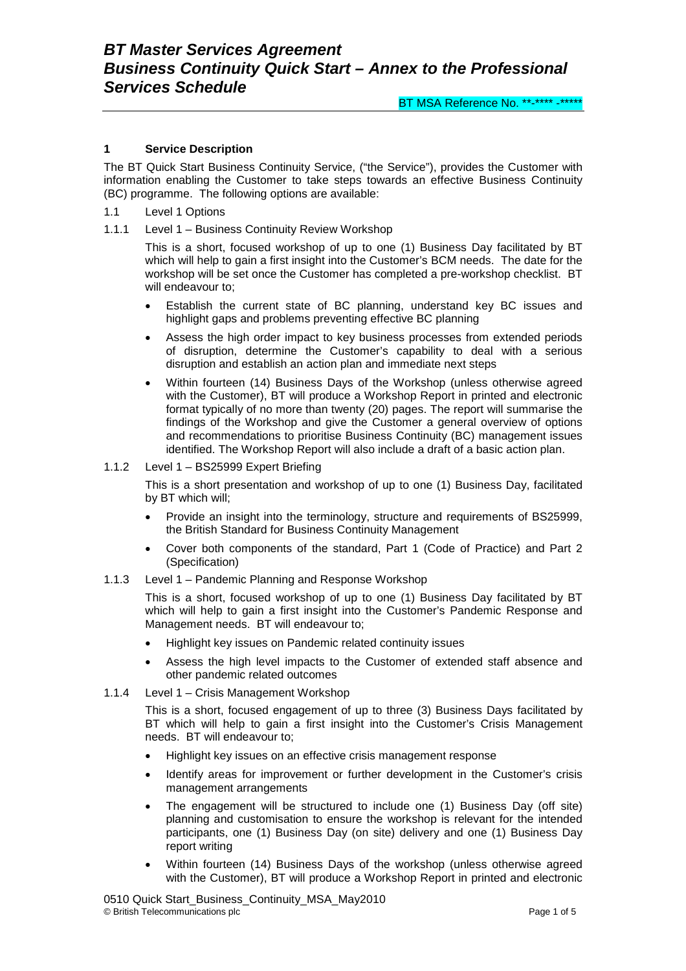## **1 Service Description**

The BT Quick Start Business Continuity Service, ("the Service"), provides the Customer with information enabling the Customer to take steps towards an effective Business Continuity (BC) programme. The following options are available:

- 1.1 Level 1 Options
- 1.1.1 Level 1 Business Continuity Review Workshop

This is a short, focused workshop of up to one (1) Business Day facilitated by BT which will help to gain a first insight into the Customer's BCM needs. The date for the workshop will be set once the Customer has completed a pre-workshop checklist. BT will endeavour to;

- Establish the current state of BC planning, understand key BC issues and highlight gaps and problems preventing effective BC planning
- Assess the high order impact to key business processes from extended periods of disruption, determine the Customer's capability to deal with a serious disruption and establish an action plan and immediate next steps
- Within fourteen (14) Business Days of the Workshop (unless otherwise agreed with the Customer), BT will produce a Workshop Report in printed and electronic format typically of no more than twenty (20) pages. The report will summarise the findings of the Workshop and give the Customer a general overview of options and recommendations to prioritise Business Continuity (BC) management issues identified. The Workshop Report will also include a draft of a basic action plan.

## 1.1.2 Level 1 – BS25999 Expert Briefing

This is a short presentation and workshop of up to one (1) Business Day, facilitated by BT which will;

- Provide an insight into the terminology, structure and requirements of BS25999, the British Standard for Business Continuity Management
- Cover both components of the standard, Part 1 (Code of Practice) and Part 2 (Specification)
- 1.1.3 Level 1 Pandemic Planning and Response Workshop

This is a short, focused workshop of up to one (1) Business Day facilitated by BT which will help to gain a first insight into the Customer's Pandemic Response and Management needs. BT will endeavour to;

- Highlight key issues on Pandemic related continuity issues
- Assess the high level impacts to the Customer of extended staff absence and other pandemic related outcomes
- 1.1.4 Level 1 Crisis Management Workshop

This is a short, focused engagement of up to three (3) Business Days facilitated by BT which will help to gain a first insight into the Customer's Crisis Management needs. BT will endeavour to;

- Highlight key issues on an effective crisis management response
- Identify areas for improvement or further development in the Customer's crisis management arrangements
- The engagement will be structured to include one (1) Business Day (off site) planning and customisation to ensure the workshop is relevant for the intended participants, one (1) Business Day (on site) delivery and one (1) Business Day report writing
- Within fourteen (14) Business Days of the workshop (unless otherwise agreed with the Customer), BT will produce a Workshop Report in printed and electronic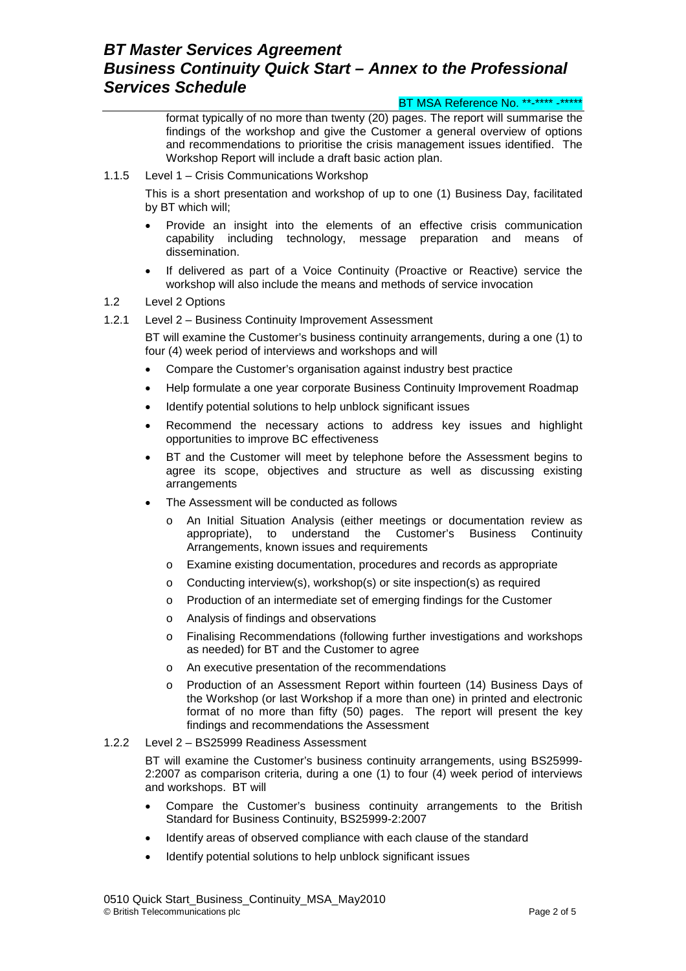#### BT MSA Reference No. \*\*-\*\*\*\* -\*\*\*\*\*

format typically of no more than twenty (20) pages. The report will summarise the findings of the workshop and give the Customer a general overview of options and recommendations to prioritise the crisis management issues identified. The Workshop Report will include a draft basic action plan.

### 1.1.5 Level 1 – Crisis Communications Workshop

This is a short presentation and workshop of up to one (1) Business Day, facilitated by BT which will;

- Provide an insight into the elements of an effective crisis communication capability including technology, message preparation and means of dissemination.
- If delivered as part of a Voice Continuity (Proactive or Reactive) service the workshop will also include the means and methods of service invocation

## 1.2 Level 2 Options

1.2.1 Level 2 – Business Continuity Improvement Assessment

BT will examine the Customer's business continuity arrangements, during a one (1) to four (4) week period of interviews and workshops and will

- Compare the Customer's organisation against industry best practice
- Help formulate a one year corporate Business Continuity Improvement Roadmap
- Identify potential solutions to help unblock significant issues
- Recommend the necessary actions to address key issues and highlight opportunities to improve BC effectiveness
- BT and the Customer will meet by telephone before the Assessment begins to agree its scope, objectives and structure as well as discussing existing arrangements
- The Assessment will be conducted as follows
	- o An Initial Situation Analysis (either meetings or documentation review as appropriate), to understand the Customer's Business Continuity Arrangements, known issues and requirements
	- o Examine existing documentation, procedures and records as appropriate
	- o Conducting interview(s), workshop(s) or site inspection(s) as required
	- o Production of an intermediate set of emerging findings for the Customer
	- o Analysis of findings and observations
	- Finalising Recommendations (following further investigations and workshops as needed) for BT and the Customer to agree
	- o An executive presentation of the recommendations
	- o Production of an Assessment Report within fourteen (14) Business Days of the Workshop (or last Workshop if a more than one) in printed and electronic format of no more than fifty (50) pages. The report will present the key findings and recommendations the Assessment

#### 1.2.2 Level 2 – BS25999 Readiness Assessment

BT will examine the Customer's business continuity arrangements, using BS25999- 2:2007 as comparison criteria, during a one (1) to four (4) week period of interviews and workshops. BT will

- Compare the Customer's business continuity arrangements to the British Standard for Business Continuity, BS25999-2:2007
- Identify areas of observed compliance with each clause of the standard
- Identify potential solutions to help unblock significant issues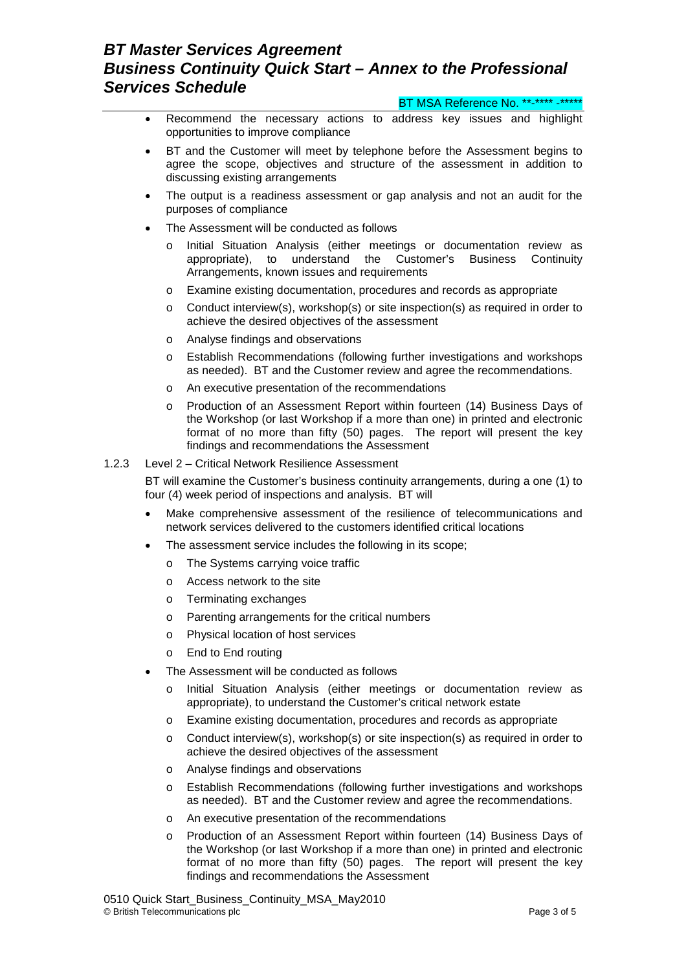BT MSA Reference No. \*\*-\*\*\*\* -\*\*\*\*\*

- Recommend the necessary actions to address key issues and highlight opportunities to improve compliance
- BT and the Customer will meet by telephone before the Assessment begins to agree the scope, objectives and structure of the assessment in addition to discussing existing arrangements
- The output is a readiness assessment or gap analysis and not an audit for the purposes of compliance
- The Assessment will be conducted as follows
	- o Initial Situation Analysis (either meetings or documentation review as appropriate), to understand the Customer's Business Continuity Arrangements, known issues and requirements
	- o Examine existing documentation, procedures and records as appropriate
	- o Conduct interview(s), workshop(s) or site inspection(s) as required in order to achieve the desired objectives of the assessment
	- o Analyse findings and observations
	- o Establish Recommendations (following further investigations and workshops as needed). BT and the Customer review and agree the recommendations.
	- o An executive presentation of the recommendations
	- o Production of an Assessment Report within fourteen (14) Business Days of the Workshop (or last Workshop if a more than one) in printed and electronic format of no more than fifty (50) pages. The report will present the key findings and recommendations the Assessment

### 1.2.3 Level 2 – Critical Network Resilience Assessment

BT will examine the Customer's business continuity arrangements, during a one (1) to four (4) week period of inspections and analysis. BT will

- Make comprehensive assessment of the resilience of telecommunications and network services delivered to the customers identified critical locations
- The assessment service includes the following in its scope;
	- o The Systems carrying voice traffic
	- o Access network to the site
	- o Terminating exchanges
	- o Parenting arrangements for the critical numbers
	- o Physical location of host services
	- o End to End routing
- The Assessment will be conducted as follows
	- o Initial Situation Analysis (either meetings or documentation review as appropriate), to understand the Customer's critical network estate
	- o Examine existing documentation, procedures and records as appropriate
	- $\circ$  Conduct interview(s), workshop(s) or site inspection(s) as required in order to achieve the desired objectives of the assessment
	- o Analyse findings and observations
	- o Establish Recommendations (following further investigations and workshops as needed). BT and the Customer review and agree the recommendations.
	- o An executive presentation of the recommendations
	- o Production of an Assessment Report within fourteen (14) Business Days of the Workshop (or last Workshop if a more than one) in printed and electronic format of no more than fifty (50) pages. The report will present the key findings and recommendations the Assessment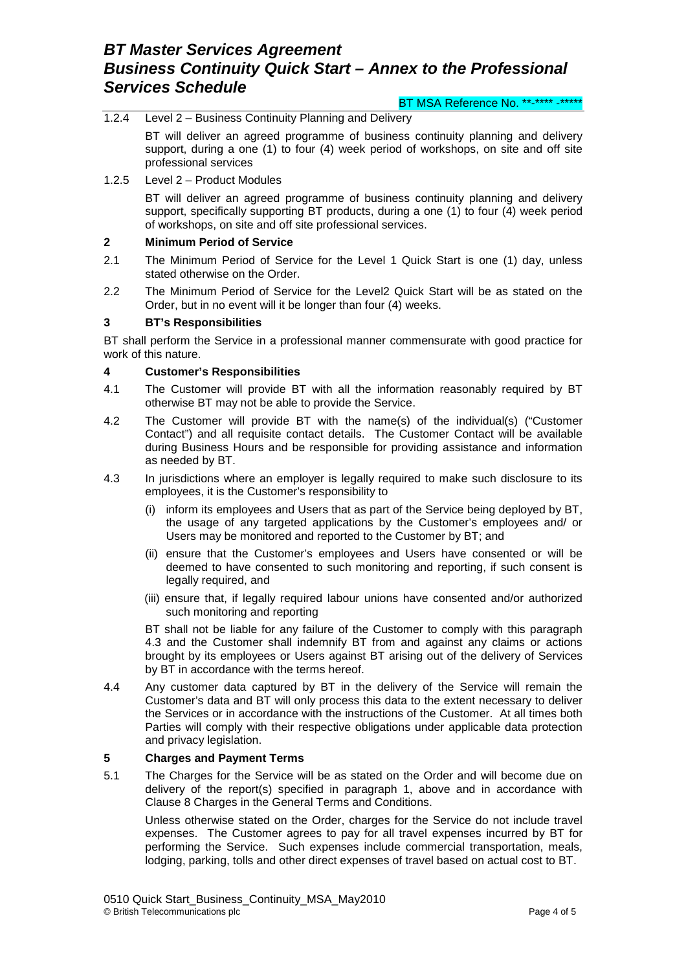BT MSA Reference No. \*\*-\*\*\*\* -\*\*\*\*\*

- 1.2.4 Level 2 Business Continuity Planning and Delivery BT will deliver an agreed programme of business continuity planning and delivery support, during a one (1) to four (4) week period of workshops, on site and off site
- professional services 1.2.5 Level 2 – Product Modules

BT will deliver an agreed programme of business continuity planning and delivery support, specifically supporting BT products, during a one (1) to four (4) week period of workshops, on site and off site professional services.

### **2 Minimum Period of Service**

- 2.1 The Minimum Period of Service for the Level 1 Quick Start is one (1) day, unless stated otherwise on the Order.
- 2.2 The Minimum Period of Service for the Level2 Quick Start will be as stated on the Order, but in no event will it be longer than four (4) weeks.

## **3 BT's Responsibilities**

BT shall perform the Service in a professional manner commensurate with good practice for work of this nature.

### **4 Customer's Responsibilities**

- 4.1 The Customer will provide BT with all the information reasonably required by BT otherwise BT may not be able to provide the Service.
- 4.2 The Customer will provide BT with the name(s) of the individual(s) ("Customer Contact") and all requisite contact details. The Customer Contact will be available during Business Hours and be responsible for providing assistance and information as needed by BT.
- 4.3 In jurisdictions where an employer is legally required to make such disclosure to its employees, it is the Customer's responsibility to
	- (i) inform its employees and Users that as part of the Service being deployed by BT, the usage of any targeted applications by the Customer's employees and/ or Users may be monitored and reported to the Customer by BT; and
	- (ii) ensure that the Customer's employees and Users have consented or will be deemed to have consented to such monitoring and reporting, if such consent is legally required, and
	- (iii) ensure that, if legally required labour unions have consented and/or authorized such monitoring and reporting

BT shall not be liable for any failure of the Customer to comply with this paragraph 4.3 and the Customer shall indemnify BT from and against any claims or actions brought by its employees or Users against BT arising out of the delivery of Services by BT in accordance with the terms hereof.

4.4 Any customer data captured by BT in the delivery of the Service will remain the Customer's data and BT will only process this data to the extent necessary to deliver the Services or in accordance with the instructions of the Customer. At all times both Parties will comply with their respective obligations under applicable data protection and privacy legislation.

#### **5 Charges and Payment Terms**

5.1 The Charges for the Service will be as stated on the Order and will become due on delivery of the report(s) specified in paragraph 1, above and in accordance with Clause 8 Charges in the General Terms and Conditions.

Unless otherwise stated on the Order, charges for the Service do not include travel expenses. The Customer agrees to pay for all travel expenses incurred by BT for performing the Service. Such expenses include commercial transportation, meals, lodging, parking, tolls and other direct expenses of travel based on actual cost to BT.